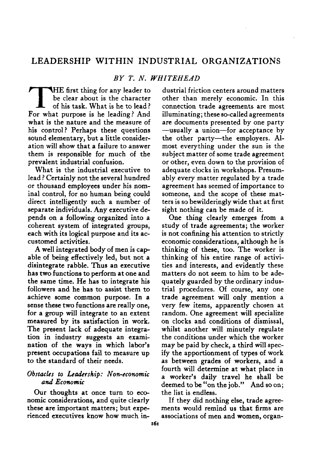## LEADERSHIP WITHIN INDUSTRIAL ORGANIZATIONS

### *BY T. N. WHITEHEAD*

BY T. N.<br>HE first thing for any leader to<br>be clear about is the character<br>of his task. What is he to lead!<br>For what purpose is he leading? And HE first thing for any leader to be clear about is the character of his task. What is he to lead ? what is the nature and the measure of his control? Perhaps these questions sound elementary, but a little consideration will show that a failure to answer them is responsible for much of the prevalent industrial confusion.

What is the industrial executive to lead ? Certainly not the several hundred or thousand employees under his nominal control, for no human being could direct intelligently such a number of separate individuals. Any executive depends on a following organized into a coherent system of integrated groups, each with its logical purpose and its accustomed activities.

A well integrated body of men is capable of being effectively led, but not a disintegrate rabble. Thus an executive has two functions to perform at one and the same time. He has to integrate his followers and he has to assist them to achieve some common purpose. In a sense these two functions are really one, for a group will integrate to an extent measured by its satisfaction in work. The present lack of adequate integration in industry suggests an examination of the ways in which labor's present occupations fail to measure up to the standard of their needs.

#### *Obstacles to Leadership: Non-economic and Economic*

Our thoughts at once turn to economic considerations, and quite clearly these are important matters; but experienced executives know how much industrial friction centers around matters other than merely economic. In this connection trade agreements are most illuminating; these so-called agreements are documents presented by one party —usually a union—for acceptance by the other party—the employers. Almost everything under the sun is the subject matter of some trade agreement or other, even down to the provision of adequate clocks in workshops. Presumably every matter regulated by a trade agreement has seemed of importance to someone, and the scope of these matters is so bewilderingly wide that at first sight nothing can be made of it.

One thing clearly emerges from a study of trade agreements; the worker is not confining his attention to strictly economic considerations, although he is thinking of these, too. The worker is thinking of his entire range of activities and interests, and evidently these matters do not seem to him to be adequately guarded by the ordinary industrial procedures. Of course, any one trade agreement will only mention a very few items, apparently chosen at random. One agreement will specialize on clocks and conditions of dismissal, whilst another will minutely regulate the conditions under which the worker may be paid by check, a third will specify the apportionment of types of work as between grades of workers, and a fourth will determine at what place in a worker's daily travel he shall be deemed to be "on the job." And so on; the list is endless.

If they did nothing else, trade agreements would remind us that firms are associations of men and women, organ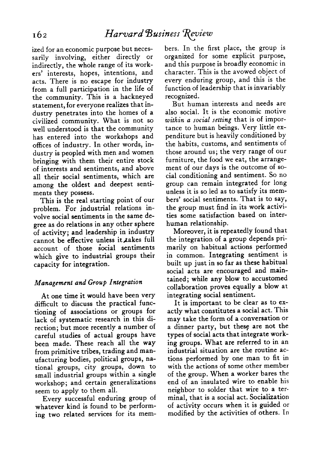ized for an economic purpose but necessarily involving, either directly or indirectly, the whole range of its workers' interests, hopes, intentions, and acts. There is no escape for industry from a full participation in the life of the community. This is a hackneyed statement, for everyone realizes that industry penetrates into the homes of a civilized community. What is not so well understood is that the community has entered into the workshops and offices of industry. In other words, industry is peopled with men and women bringing with them their entire stock of interests and sentiments, and above all their social sentiments, which are among the oldest and deepest sentiments they possess.

This is the real starting point of our problem. For industrial relations involve social sentiments in the same degree as do relations in any other sphere of activity; and leadership in industry cannot be effective unless it takes full account of those social sentiments which give to industrial groups their capacity for integration.

### *Management and Group Integration*

At one time it would have been very difficult to discuss the practical functioning of associations or groups for lack of systematic research in this direction; but more recently a number of careful studies of actual groups have been made. These reach all the way from primitive tribes, trading and manufacturing bodies, political groups, national groups, city groups, down to small industrial groups within a single workshop; and certain generalizations seem to apply to them all.

Every successful enduring group of whatever kind is found to be performing two related services for its members. In the first place, the group is organized for some explicit purpose, and this purpose is broadly economic in character. This is the avowed object of every enduring group, and this is the function of leadership that is invariably recognized.

But human interests and needs are also social. It is the economic motive *within a social setting* that is of importance to human beings. Very little expenditure but is heavily conditioned by the habits, customs, and sentiments of those around us; the very range of our furniture, the food we eat, the arrangement of our days is the outcome of social conditioning and sentiment. So no group can remain integrated for long unless it is so led as to satisfy its members' social sentiments. That is to say, the group must find in its work activities some satisfaction based on interhuman relationship.

Moreover, it is repeatedly found that the integration of a group depends primarily on habitual actions performed in common. Integrating sentiment is built up just in so far as these habitual social acts are encouraged and maintained; while any blow to accustomed collaboration proves equally a blow at integrating social sentiment.

It is important to be clear as to exactly what constitutes a social act. This may take the form of a conversation or a dinner party, but these are not the types of social acts that integrate working groups. What are referred to in an industrial situation are the routine actions performed by one man to fit in with the actions of some other member of the group. When a worker bares the end of an insulated wire to enable his neighbor to solder that wire to a terminal, that is a social act. Socialization of activity occurs when it is guided or modified by the activities of others. In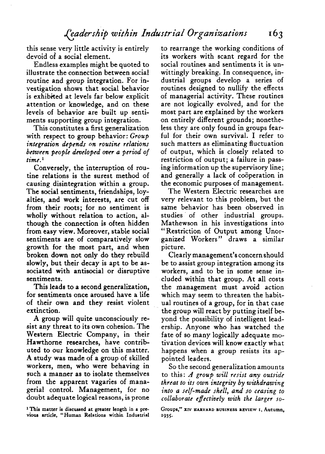this sense very little activity is entirely devoid of a social element.

Endless examples might be quoted to illustrate the connection between social routine and group integration. For investigation shows that social behavior is exhibited at levels far below explicit attention or knowledge, and on these levels of behavior are built up sentiments supporting group integration.

This constitutes a first generalization with respect to group behavior: *Group integration depends on routine relations between people developed over a period of time.^*

Conversely, the interruption of routine relations is the surest method of causing disintegration within a group. The social sentiments, friendships, loyalties, and work interests, are cut off from their roots; for no sentiment is wholly without relation to action, although the connection is often hidden from easy view. Moreover, stable social sentiments are of comparatively slow growth for the most part, and when broken down not only do they rebuild slowly, but their decay is apt to be associated with antisocial or disruptive sentiments.

This leads to a second generalization, for sentiments once aroused have a life of their own and they resist violent extinction.

A group will quite unconsciously resist any threat to its own cohesion. The Western Electric Company, in their Hawthorne researches, have contributed to our knowledge on this matter. A study was made of a group of skilled workers, men, who were behaving in such a manner as to isolate themselves from the apparent vagaries of managerial control. Management, for no doubt adequate logical reasons, is prone

to rearrange the working conditions of its workers with scant regard for the social routines and sentiments it is unwittingly breaking. In consequence, industrial groups develop a series of routines designed to nullify the effects of managerial activity. These routines are not logically evolved, and for the most part are explained by the workers on entirely different grounds; nonetheless they are only found in groups fearful for their own survival. I refer to such matters as eliminating fluctuation of output, which is closely related to restriction of output; a failure in passing information up the supervisory line; and generally a lack of cooperation in the economic purposes of management.

The Western Electric researches are very relevant to this problem, but the same behavior has been observed in studies of other industrial groups. Mathewson in his investigations into "Restriction of Output among Unorganized Workers" draws a similar picture.

Clearly management's concern should be to assist group integration among its workers, and to be in some sense included within that group. At all costs the management must avoid action which may seem to threaten the habitual routines of a group, for in that case the group will react by putting itself be-< yond the possibility of intelligent leadership. Anyone who has watched the fate of so many logically adequate motivation devices will know exactly what happens when a group resists its appointed leaders.

So the second generalization amounts to this: *A group will resist any outside threat to its own integrity by withdrawing into a self-made shell, and so ceasing to collaborate effectively with the larger so-*

**<sup>\*</sup> This matter is discussed at greater length in a previous article, "Human Relations within Industrial**

Groups," XIV HARVARD BUSINESS REVIEW I, Autumn. **1935-**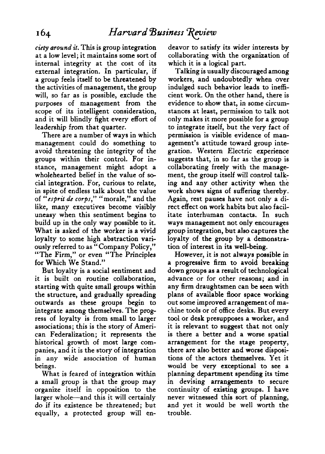*ciety around it.* This is group integration at a low level; it maintains some sort of internal integrity at the cost of its external integration. In particular, if a group feels itself to be threatened by the activities of management, the group will, so far as is possible, exclude the purposes of management from the scope of its intelligent consideration, and it will blindly fight every effort of leadership from that quarter.

There are a number of ways in which management could do something to avoid threatening the integrity of the groups within their control. For instance, management might adopt a wholehearted belief in the value of social integration. For, curious to relate, in spite of endless talk about the value of *"esprit de corps,"* "morale," and the like, many executives become visibly uneasy when this sentiment begins to build up in the only way possible to it. What is asked of the worker is a vivid loyalty to some high abstraction variously referred to as " Company Policy," "The Firm," or even "The Principles for Which We Stand."

But loyalty is a social sentiment and it is built on routine collaboration, starting with quite small groups within the structure, and gradually spreading outwards as these groups begin to integrate among themselves. The progress of loyalty is from small to larger associations; this is the story of American Federalization; it represents the historical growth of most large companies, and it is the story of integration in any wide association of human beings.

What is feared of integration within a small group is that the group may organize itself in opposition to the larger whole—and this it will certainly do if its existence be threatened; but equally, a protected group will endeavor to satisfy its wider interests by collaborating with the organization of which it is a logical part.

Talking is usually discouraged among workers, and undoubtedly when over indulged such behavior leads to inefficient work. On the other hand, there is evidence to show that, in some circumstances at least, permission to talk not only makes it more possible for a group to integrate itself, but the very fact of permission is visible evidence of management's attitude toward group integration. Western Electric experience suggests that, in so far as the group is collaborating freely with the management, the group itself will control talking and any other activity when the work shows signs of suffering thereby. Again, rest pauses have not only a direct effect on work habits but also facilitate interhuman contacts. In such ways management not only encourages group integration, but also captures the loyalty of the group by a demonstration of interest in its well-being.

However, it is not always possible in a progressive firm to avoid breaking down groups as a result of technological advance or for other reasons; and in any firm draughtsmen can be seen with plans of available floor space working out some improved arrangement of machine tools or of office desks. But every tool or desk presupposes a worker, and it is relevant to suggest that not only is there a better and a worse spatial arrangement for the stage property, there are also better and worse dispositions of the actors themselves. Yet it would be very exceptional to see a planning department spending its time in devising arrangements to secure continuity of existing groups. I have never witnessed this sort of planning, and yet it would be well worth the trouble.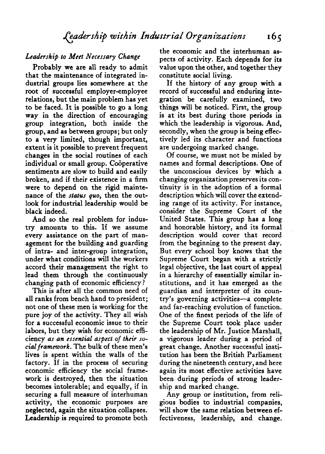## *Leadership to Meet Necessary Change*

Probably we are all ready to admit that the maintenance of integrated industrial groups lies somewhere at the root of successful employer-employee relations, but the main problem has yet to be faced. It is possible to go a long way in the direction of encouraging group integration, both inside the group, and as between groups; but only to a very limited, though important, extent is it possible to prevent frequent changes in the social routines of each individual or small group. Cooperative sentiments are slow to build and easily broken, and if their existence in a firm were to depend on the rigid maintenance of the *status quo,* then the outlook for industrial leadership would be black indeed.

And so the real problem for industry amounts to this. If we assume every assistance on the part of management for the building and guarding of intra- and inter-group integration, under what conditions will the workers accord their management the right to lead them through the continuously changing path of economic efficiency ?

This is after all the common need of all ranks from bench hand to president; not one of these men is working for the pure joy of the activity. They all wish for a successful economic issue to their labors, but they wish for economic efficiency *as an essential aspect of their social framework.* The bulk of these men's lives is spent within the walls of the factory. If in the process of securing economic efficiency the social framework is destroyed, then the situation becomes intolerable; and equally, if in securing a full measure of interhuman activity, the economic purposes are neglected, again the situation collapses. Leadership is required to promote both

the economic and the interhuman aspects of activity. Each depends for its value upon the other, and together they constitute social living.

If the history of any group with a record of successful and enduring integration be carefully examined, two things will be noticed. First, the group is at its best during those periods in which the leadership is vigorous. And, secondly, when the group is being effectively led its character and functions are undergoing marked change.

Of course, we must not be misled by names and formal descriptions. One of the unconscious devices by which a changing organization preserves its continuity is in the adoption of a formal description which will cover the extending range of its activity. For instance, consider the Supreme Court of the United States. This group has a long and honorable history, and its formal description would cover that record from the beginning to the present day. But every school boy knows that the Supreme Court began with a strictly legal objective, the last court of appeal in a hierarchy of essentially similar institutions, and it has emerged as the guardian and interpreter of its country's governing activities—a complete and far-reaching evolution of function. One of the finest periods of the life of the Supreme Court took place under the leadership of Mr. Justice Marshall, a vigorous leader during a period of great change. Another successful institution has been the British Parliament during the nineteenth century, and here again its most effective activities have been during periods of strong leadership and marked change.

Any group or institution, from religious bodies to industrial companies, will show the same relation between effectiveness, leadership, and change.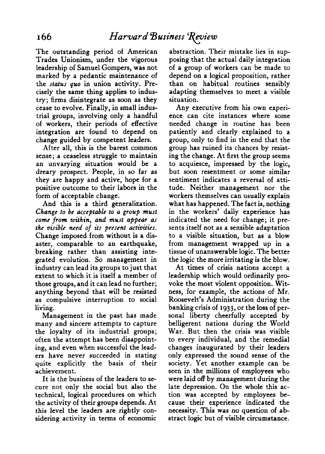The outstanding period of American Trades Unionism, under the vigorous leadership of Samuel Gompers, was not marked by a pedantic maintenance of the *status quo* in union activity. Precisely the same thing applies to industry; firms disintegrate as soon as they cease to evolve. Finally, in small industrial groups, involving only a handful of workers, their periods of effective integration are found to depend on change guided by competent leaders.

After all, this is the barest common sense; a ceaseless struggle to maintain an unvarying situation would be a dreary prospect. People, in so far as they are happy and active, hope for a positive outcome to their labors in the form of acceptable change.

And this is a third generalization. *Change to be acceptable to a group must come from within, and must appear as the visible need of its present activities.* Change imposed from without is a disaster, comparable to an earthquake, breaking rather than assisting integrated evolution. So management in industry can lead its groups to just that extent to which it is itself a member of those groups, and it can lead no further; anything beyond that will be resisted as compulsive interruption to social living.

Management in the past has made many and sincere attempts to capture the loyalty of its industrial groups; often the attempt has been disappointing, and even when successful the leaders have never succeeded in stating quite explicitly the basis of their achievement.

It is the business of the leaders to secure not only the social but also the technical, logical procedures on which the activity of their groups depends. At this level the leaders are rightly considering activity in terms of economic abstraction. Their mistake lies in supposing that the actual daily integration of a group of workers can be made to depend on a logical proposition, rather than on habitual routines sensibly adapting themselves to meet a visible situation.

Any executive from his own experience can cite instances where some needed change in routine has been patiently and clearly explained to a group, only to find in the end that the group has ruined its chances by resisting the change. At first the group seems to acquiesce, impressed by the logic, but soon resentment or some similar sentiment indicates a reversal of attitude. Neither management nor the workers themselves can usually explain what has happened. The fact is, nothing in the workers' daily experience has indicated the need for change; it presents itself not as a sensible adaptation to a visible situation, but as a blow from management wrapped up in a tissue of unanswerable logic. The better the logic the more irritating is the blow.

At times of crisis nations accept a leadership which would ordinarily provoke the most violent opposition. W^itness, for example, the actions of Mr. Roosevelt's Administration during the banking crisis of 1933, or the loss of personal liberty cheerfully accepted by belligerent nations during the World War. But then the crisis was visible to every individual, and the remedial changes inaugurated by their leaders only expressed the sound sense of the society. Yet another example can be seen in the millions of employees who were laid off by management during the late depression. On the whole this action was accepted by employees because their experience indicated the necessity. This was no question of abstract logic but of visible circumstance.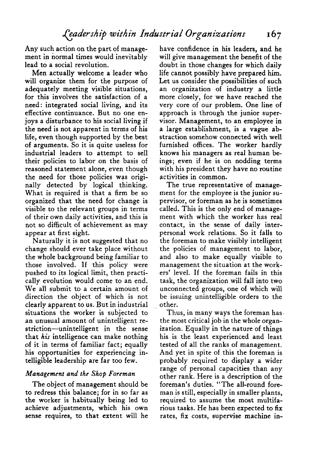Any such action on the part of management in normal times would inevitably lead to a social revolution.

Men actually welcome a leader who will organize them for the purpose of adequately meeting visible situations, for this involves the satisfaction of a need: integrated social living, and its effective continuance. But no one enjoys a disturbance to his social living if the need is not apparent in terms of his life, even though supported by the best of arguments. So it is quite useless for industrial leaders to attempt to sell their policies to labor on the basis of reasoned statement alone, even though the need for those policies was originally detected by logical thinking. What is required is that a firm be so organized that the need for change is visible to the relevant groups in terms of their own daily activities, and this is not so difficult of achievement as may appear at first sight.

Naturally it is not suggested that no change should ever take place without the whole background being familiar to those involved. If this policy were pushed to its logical limit, then practically evolution would come to an end. We all submit to a certain amount of direction the object of which is not clearly apparent to us. But in industrial situations the worker is subjected to an unusual amount of unintelligent restriction—unintelligent in the sense that *his* intelligence can make nothing of it in terms of familiar fact; equally his opportunities for experiencing intelligible leadership are far too few.

#### *Management and the Shop Foreman*

The object of management should be to redress this balance; for in so far as the worker is habitually being led to achieve adjustments, which his own sense requires, to that extent will he have confidence in his leaders, and he will give management the benefit of the doubt in those changes for which daily life cannot possibly have prepared him. Let us consider the possibilities of such an organization of industry a little more closely, for we have reached the very core of our problem. One line of approach is through the junior supervisor. Management, to an employee in a large establishment, is a vague abstraction somehow connected with well furnished offices. The worker hardly knows his managers as real human beings; even if he is on nodding terms with his president they have no routine activities in common.

The true representative of management for the employee is the junior supervisor, or foreman as he is sometimes called. This is the only end of management with which the worker has real contact, in the sense of daily interpersonal work relations. So it falls to the foreman to make visibly intelligent the policies of management to labor, and also to make equally visible to management the situation at the workers' level. If the foreman fails in this task, the organization will fall into two unconnected groups, one of which will be issuing unintelligible orders to the other.

Thus, in many ways the foreman has. the most critical job in the whole organization. Equally in the nature of things his is the least experienced and least tested of all the ranks of management. And yet in spite of this the foreman is probably required to display a wider range of personal capacities than any other rank. Here is a description of the foreman's duties. "The all-round foreman is still, especially in smaller plants, required to assume the most multifarious tasks. He has been expected to fix rates, fix costs, supervise machine in-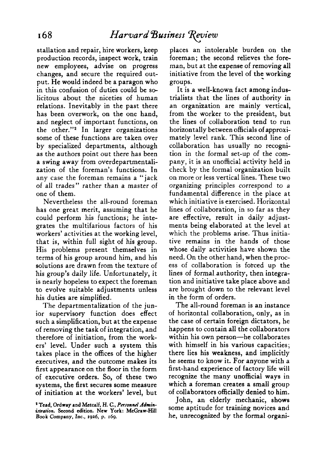stallation and repair, hire workers, keep production records, inspect work, train new employees, advise on progress changes, and secure the required output. He would indeed be a paragon who in this confusion of duties could be solicitous about the niceties of human relations. Inevitably in the past there has been overwork, on the one hand, and neglect of important functions, on the other."<sup>2</sup> In larger organizations some of these functions are taken over by specialized departments, although as the authors point out there has been a swing away from overdepartmentalization of the foreman's functions. In any case the foreman remains a "jack of all trades" rather than a master of one of them.

Nevertheless the all-round foreman has one great merit, assuming that he could perform his functions; he integrates the multifarious factors of his workers' activities at the working level, that is, within full sight of his group. His problems present themselves in terms of his group around him, and his solutions are drawn from the texture of his group's daily life. Unfortunately, it is nearly hopeless to expect the foreman to evolve suitable adjustments unless his duties are simplified.

The departmentalization of the junior supervisory function does effect such a simplification, but at the expense of removing the task of integration, and therefore of initiation, from the workers' level. Under such a system this takes place in the offices of the higher executives, and the outcome makes its first appearance on the floor in the form of executive orders. So, of these two systems, the first secures some measure of initiation at the workers' level, but places an intolerable burden on the foreman; the second relieves the foreman, but at the expense of removing all initiative from the level of the working groups.

It is a well-known fact among industrialists that the lines of authority in an organization are mainly vertical, from the worker to the president, but the lines of collaboration tend to run horizontally between officials of approximately level rank. This second line of collaboration has usually no recognition in the formal set-up of the company, it is an unofficial activity held in check by the formal organization built on more or less vertical lines. These two organizing principles correspond to a fundamental difference in the place at which initiative is exercised. Horizontal lines of collaboration, in so far as they are effective, result in daily adjustments being elaborated at the level at which the problems arise. Thus initiative remains in the hands of those whose daily activities have shown the need. On the other hand, when the process of collaboration is forced up the lines of formal authority, then integration and initiative take place above and are brought down to the relevant level in the form of orders.

The all-round foreman is an instance of horizontal collaboration, only, as in the case of certain foreign dictators, he happens to contain all the collaborators within his own person—he collaborates with himself in his various capacities; there lies his weakness, and implicitly he seems to know it. For anyone with a first-hand experience of factory life will recognize the many unofficial ways in which a foreman creates a small group of collaborators officially denied to him.

John, an elderly mechanic, shows some aptitude for training novices and he, unrecognized by the formal organi-

**<sup>&#</sup>x27; Tead, Ordway and Metcalf, H. C,** *Personnel Administration.* **Second edition. New York: McGraw-Hill** Book Company, Inc., 1926, p. 169.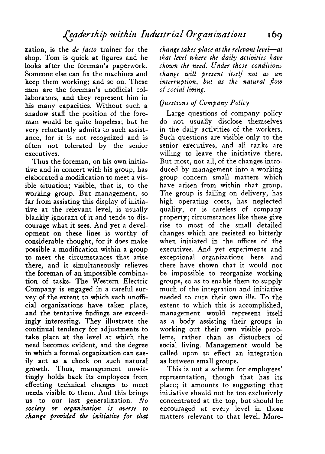zation, is the *de facto* trainer for the shop. Tom is quick at figures and he looks after the foreman's paperwork. Someone else can fix the machines and keep them working; and so on. These men are the foreman's unofficial collaborators, and they represent him in his many capacities. Without such a shadow staff the position of the foreman would be quite hopeless; but he very reluctantly admits to such assistance, for it is not recognized and is often not tolerated by the senior executives.

Thus the foreman, on his own initiative and in concert with his group, has elaborated a modification to meet a visible situation; visible, that is, to the working group. But management, so far from assisting this display of initiative at the relevant level, is usually blankly ignorant of it and tends to discourage what it sees. And yet a development on these lines is worthy of considerable thought, for it does make possible a modification within a group to meet the circumstances that arise there, and it simultaneously relieves the foreman of an impossible combination of tasks. The Western Electric Company is engaged in a careful survey of the extent to which such unofficial organizations have taken place, and the tentative findings are exceedingly interesting. They illustrate the continual tendency for adjustments to take place at the level at which the need becomes evident, and the degree in which a formal organization can easily act as a check on such natural growth. Thus, management unwittingly holds back its employees from effecting technical changes to meet needs visible to them. And this brings us to our last generalization. *No society or organization is averse to change provided the initiative for that* *change takes place at the relevant level*—*at that level where the daily activities have shown the need. Under those conditions change will present itself not as an interruption, but as the natural fiow of social living.*

# *Questions of Company Policy*

Large questions of company policy do not usually disclose themselves in the daily activities of the workers. Such questions are visible only to the senior executives, and all ranks are willing to leave the initiative there. But most, not all, of the changes introduced by management into a working group concern small matters which have arisen from within that group. The group is failing on delivery, has high operating costs, has neglected quality, or is careless of company property; circumstances like these give rise to most of the small detailed changes which are resisted so bitterly when initiated in the offices of the executives. And yet experiments and exceptional organizations here and there have shown that it would not be impossible to reorganize working groups, so as to enable them to supply much of the integration and initiative needed to cure their own ills. To the extent to which this is accomplished, management would represent itself as a body assisting their groups in working out their own visible problems, rather than as disturbers of social living. Management would be called upon to effect an integration as between small groups.

This is not a scheme for employees' representation, though that has its place; it amounts to suggesting that initiative should not be too exclusively concentrated at the top, but should be encouraged at every level in those matters relevant to that level. More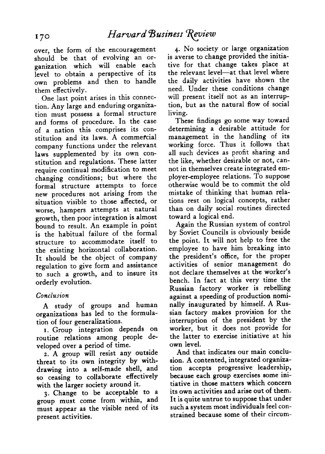over, the form of the encouragement should be that of evolving an organization which will enable each level to obtain a perspective of its own problems and then to handle them effectively.

One last point arises in this connection. Any large and enduring organization must possess a formal structure and forms of procedure. In the case of a nation this comprises its constitution and its laws. A commefcial company functions under the relevant laws supplemented by its own constitution and regulations. These latter require continual modification to meet changing conditions; but where the formal structure attempts to force new procedures not arising from the situation visible to those affected, or worse, hampers attempts at natural growth, then poor integration is almost bound to result. An example in point is the habitual failure of the formal structure to accommodate itself to the existing horizontal collaboration. It should be the object of company regulation to give form and assistance to such a growth, and to insure its orderly evolution.

#### *Conclusion*

*A* study of groups and human organizations has led to the formulation of four generalizations.

1. Group integration depends on routine relations among people developed over a period of time.

2. A group will resist any outside threat to its own integrity by withdrawing into a self-made shell, and so ceasing to collaborate effectively with the larger society around it.

3. Change to be acceptable to a group must come from within, and must appear as the visible need of its present activities.

4. No society or large organization is averse to change provided the initiative for that change takes place at the relevant level—at that level where the daily activities have shown the need. Under these conditions change will present itself not as an interruption, but as the natural flow of social living.

These findings go some way toward determining a desirable attitude for management in the handling of its working force. Thus it follows that all such devices as profit sharing and the like, whether desirable or not, cannot in themselves create integrated employer-employee relations. To suppose otherwise would be to commit the old mistake of thinking that human relations rest on logical concepts, rather than on daily social routines directed toward a logical end.

Again the Russian system of control by Soviet Councils is obviously beside the point. It will not help to free the employee to have him breaking into the president's office, for the proper activities of senior management do not declare themselves at the worker's bench. In fact at this very time the Russian factory worker is rebelling against a speeding of production nominally inaugurated by himself. A Russian factory makes provision for the interruption of the president by the worker, but it does not provide for the latter to exercise initiative at his own level.

And that indicates our main conclusion. A contented, integrated organization accepts progressive leadership, because each group exercises some initiative in those matters which concern its own activities and arise out of them. It is quite untrue to suppose that under such a system most individuals feel constrained because some of their circum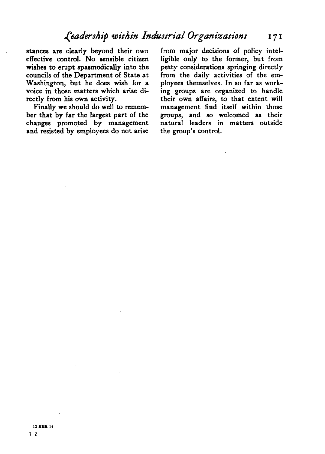stances are clearly beyond their own effective control. No sensible citizen wishes to erupt spasmodically into the councils of the Department of State at Washington, but he does wish for a voice in those matters which arise directly from his own activity.

Finally we should do well to remember that by far the largest part of the changes promoted by management and resisted by employees do not arise

from major decisions of policy intelligible only to the former, but from petty considerations springing directly from the daily activities of the employees themselves. In so far as working groups are organized to handle their own affairs, to that extent will management find itself within those groups, and so welcomed as their natural leaders in matters outside the group's control.